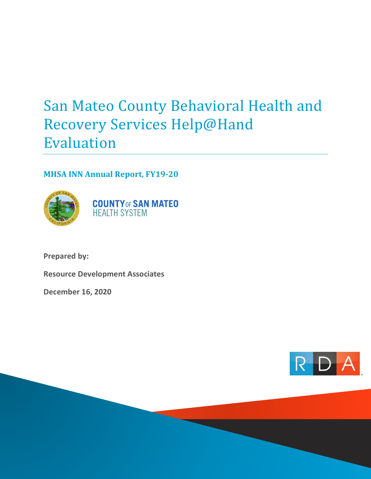# San Mateo County Behavioral Health and Recovery Services Help@Hand Evaluation

# **MHSA INN Annual Report, FY19-20**



**Prepared by:**

**Resource Development Associates**

**December 16, 2020**

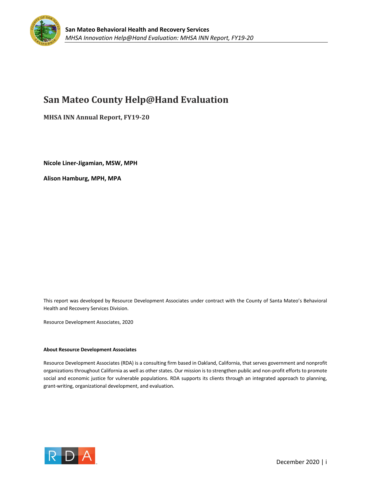

# **San Mateo County Help@Hand Evaluation**

**MHSA INN Annual Report, FY19-20** 

**Nicole Liner-Jigamian, MSW, MPH** 

**Alison Hamburg, MPH, MPA**

This report was developed by Resource Development Associates under contract with the County of Santa Mateo's Behavioral Health and Recovery Services Division.

Resource Development Associates, 2020

#### **About Resource Development Associates**

Resource Development Associates (RDA) is a consulting firm based in Oakland, California, that serves government and nonprofit organizations throughout California as well as other states. Our mission is to strengthen public and non-profit efforts to promote social and economic justice for vulnerable populations. RDA supports its clients through an integrated approach to planning, grant-writing, organizational development, and evaluation.

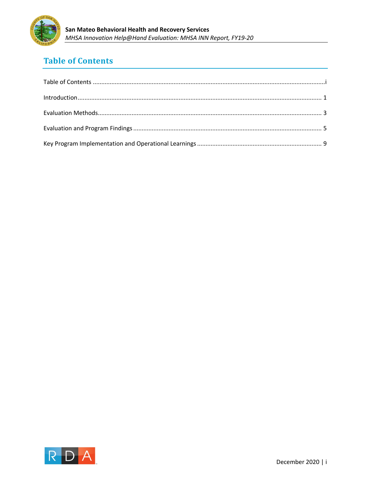

# **Table of Contents**

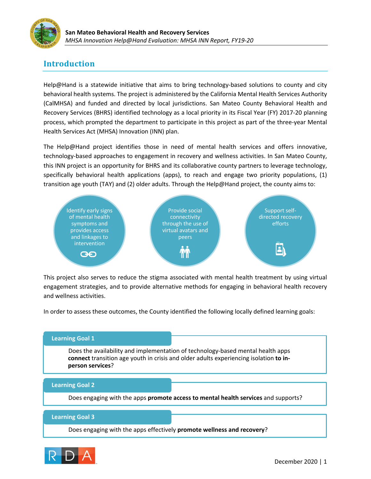

# **Introduction**

Help@Hand is a statewide initiative that aims to bring technology-based solutions to county and city behavioral health systems. The project is administered by the California Mental Health Services Authority (CalMHSA) and funded and directed by local jurisdictions. San Mateo County Behavioral Health and Recovery Services (BHRS) identified technology as a local priority in its Fiscal Year (FY) 2017-20 planning process, which prompted the department to participate in this project as part of the three-year Mental Health Services Act (MHSA) Innovation (INN) plan.

The Help@Hand project identifies those in need of mental health services and offers innovative, technology-based approaches to engagement in recovery and wellness activities. In San Mateo County, this INN project is an opportunity for BHRS and its collaborative county partners to leverage technology, specifically behavioral health applications (apps), to reach and engage two priority populations, (1) transition age youth (TAY) and (2) older adults. Through the Help@Hand project, the county aims to:



This project also serves to reduce the stigma associated with mental health treatment by using virtual engagement strategies, and to provide alternative methods for engaging in behavioral health recovery and wellness activities.

In order to assess these outcomes, the County identified the following locally defined learning goals:

### **Learning Goal 1**

Does the availability and implementation of technology-based mental health apps **connect** transition age youth in crisis and older adults experiencing isolation **to inperson services**?

#### **Learning Goal 2**

Does engaging with the apps **promote access to mental health services** and supports?

#### **Learning Goal 3**

Does engaging with the apps effectively **promote wellness and recovery**?

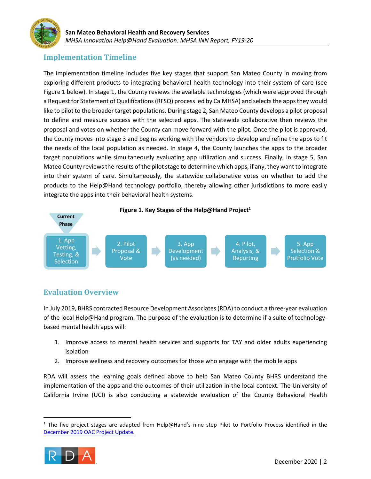

### **Implementation Timeline**

The implementation timeline includes five key stages that support San Mateo County in moving from exploring different products to integrating behavioral health technology into their system of care (see Figure 1 below). In stage 1, the County reviews the available technologies (which were approved through a Request for Statement of Qualifications(RFSQ) process led by CalMHSA) and selects the apps they would like to pilot to the broader target populations. During stage 2, San Mateo County develops a pilot proposal to define and measure success with the selected apps. The statewide collaborative then reviews the proposal and votes on whether the County can move forward with the pilot. Once the pilot is approved, the County moves into stage 3 and begins working with the vendors to develop and refine the apps to fit the needs of the local population as needed. In stage 4, the County launches the apps to the broader target populations while simultaneously evaluating app utilization and success. Finally, in stage 5, San Mateo County reviews the results of the pilot stage to determine which apps, if any, they want to integrate into their system of care. Simultaneously, the statewide collaborative votes on whether to add the products to the Help@Hand technology portfolio, thereby allowing other jurisdictions to more easily integrate the apps into their behavioral health systems.



### **Evaluation Overview**

In July 2019, BHRS contracted Resource Development Associates (RDA) to conduct a three-year evaluation of the local Help@Hand program. The purpose of the evaluation is to determine if a suite of technologybased mental health apps will:

- 1. Improve access to mental health services and supports for TAY and older adults experiencing isolation
- 2. Improve wellness and recovery outcomes for those who engage with the mobile apps

RDA will assess the learning goals defined above to help San Mateo County BHRS understand the implementation of the apps and the outcomes of their utilization in the local context. The University of California Irvine (UCI) is also conducting a statewide evaluation of the County Behavioral Health

<sup>&</sup>lt;sup>1</sup> The five project stages are adapted from Help@Hand's nine step Pilot to Portfolio Process identified in the December 2019 OAC Project Update.

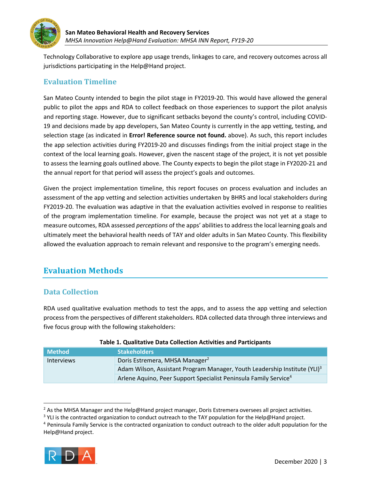

Technology Collaborative to explore app usage trends, linkages to care, and recovery outcomes across all jurisdictions participating in the Help@Hand project.

### **Evaluation Timeline**

San Mateo County intended to begin the pilot stage in FY2019-20. This would have allowed the general public to pilot the apps and RDA to collect feedback on those experiences to support the pilot analysis and reporting stage. However, due to significant setbacks beyond the county's control, including COVID-19 and decisions made by app developers, San Mateo County is currently in the app vetting, testing, and selection stage (as indicated in **Error! Reference source not found.** above). As such, this report includes the app selection activities during FY2019-20 and discusses findings from the initial project stage in the context of the local learning goals. However, given the nascent stage of the project, it is not yet possible to assess the learning goals outlined above. The County expects to begin the pilot stage in FY2020-21 and the annual report for that period will assess the project's goals and outcomes.

Given the project implementation timeline, this report focuses on process evaluation and includes an assessment of the app vetting and selection activities undertaken by BHRS and local stakeholders during FY2019-20. The evaluation was adaptive in that the evaluation activities evolved in response to realities of the program implementation timeline. For example, because the project was not yet at a stage to measure outcomes, RDA assessed *perceptions* of the apps' abilities to address the local learning goals and ultimately meet the behavioral health needs of TAY and older adults in San Mateo County. This flexibility allowed the evaluation approach to remain relevant and responsive to the program's emerging needs.

# **Evaluation Methods**

### **Data Collection**

RDA used qualitative evaluation methods to test the apps, and to assess the app vetting and selection process from the perspectives of different stakeholders. RDA collected data through three interviews and five focus group with the following stakeholders:

| <b>Method</b>     | <b>Stakeholders</b>                                                                   |  |
|-------------------|---------------------------------------------------------------------------------------|--|
| <b>Interviews</b> | Doris Estremera, MHSA Manager <sup>2</sup>                                            |  |
|                   | Adam Wilson, Assistant Program Manager, Youth Leadership Institute (YLI) <sup>3</sup> |  |
|                   | Arlene Aquino, Peer Support Specialist Peninsula Family Service <sup>4</sup>          |  |

#### **Table 1. Qualitative Data Collection Activities and Participants**

<sup>4</sup> Peninsula Family Service is the contracted organization to conduct outreach to the older adult population for the Help@Hand project.



<sup>&</sup>lt;sup>2</sup> As the MHSA Manager and the Help@Hand project manager, Doris Estremera oversees all project activities.

<sup>&</sup>lt;sup>3</sup> YLI is the contracted organization to conduct outreach to the TAY population for the Help@Hand project.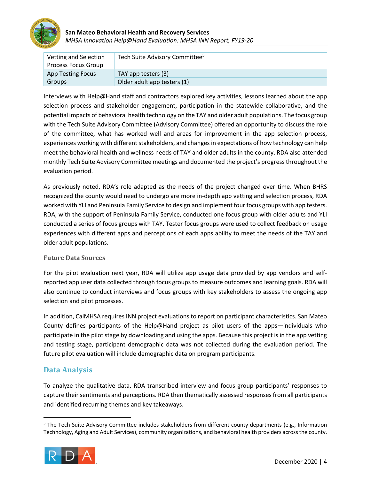

### **San Mateo Behavioral Health and Recovery Services** *MHSA Innovation Help@Hand Evaluation: MHSA INN Report, FY19-20*

| Vetting and Selection      | Tech Suite Advisory Committee <sup>5</sup> |
|----------------------------|--------------------------------------------|
| <b>Process Focus Group</b> |                                            |
| <b>App Testing Focus</b>   | TAY app testers (3)                        |
| Groups                     | Older adult app testers (1)                |

Interviews with Help@Hand staff and contractors explored key activities, lessons learned about the app selection process and stakeholder engagement, participation in the statewide collaborative, and the potential impacts of behavioral health technology on the TAY and older adult populations. The focus group with the Tech Suite Advisory Committee (Advisory Committee) offered an opportunity to discuss the role of the committee, what has worked well and areas for improvement in the app selection process, experiences working with different stakeholders, and changes in expectations of how technology can help meet the behavioral health and wellness needs of TAY and older adults in the county. RDA also attended monthly Tech Suite Advisory Committee meetings and documented the project's progress throughout the evaluation period.

As previously noted, RDA's role adapted as the needs of the project changed over time. When BHRS recognized the county would need to undergo are more in-depth app vetting and selection process, RDA worked with YLI and Peninsula Family Service to design and implement four focus groups with app testers. RDA, with the support of Peninsula Family Service, conducted one focus group with older adults and YLI conducted a series of focus groups with TAY. Tester focus groups were used to collect feedback on usage experiences with different apps and perceptions of each apps ability to meet the needs of the TAY and older adult populations.

#### **Future Data Sources**

For the pilot evaluation next year, RDA will utilize app usage data provided by app vendors and selfreported app user data collected through focus groups to measure outcomes and learning goals. RDA will also continue to conduct interviews and focus groups with key stakeholders to assess the ongoing app selection and pilot processes.

In addition, CalMHSA requires INN project evaluations to report on participant characteristics. San Mateo County defines participants of the Help@Hand project as pilot users of the apps—individuals who participate in the pilot stage by downloading and using the apps. Because this project is in the app vetting and testing stage, participant demographic data was not collected during the evaluation period. The future pilot evaluation will include demographic data on program participants.

### **Data Analysis**

To analyze the qualitative data, RDA transcribed interview and focus group participants' responses to capture their sentiments and perceptions. RDA then thematically assessed responses from all participants and identified recurring themes and key takeaways.

<sup>&</sup>lt;sup>5</sup> The Tech Suite Advisory Committee includes stakeholders from different county departments (e.g., Information Technology, Aging and Adult Services), community organizations, and behavioral health providers across the county.

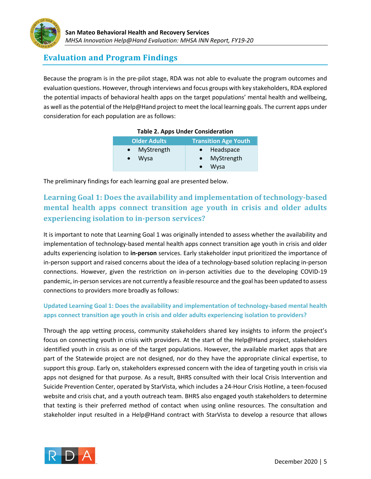

### **Evaluation and Program Findings**

Because the program is in the pre-pilot stage, RDA was not able to evaluate the program outcomes and evaluation questions. However, through interviews and focus groups with key stakeholders, RDA explored the potential impacts of behavioral health apps on the target populations' mental health and wellbeing, as well as the potential of the Help@Hand project to meet the local learning goals. The current apps under consideration for each population are as follows:

| $1.0001$ C = $1.10000$ C $1.0001$ C contract with $0.11$ |                             |  |
|----------------------------------------------------------|-----------------------------|--|
| <b>Older Adults</b>                                      | <b>Transition Age Youth</b> |  |
| • MyStrength                                             | • Headspace                 |  |
| Wysa                                                     | MyStrength                  |  |
|                                                          | Wysa                        |  |

#### **Table 2. Apps Under Consideration**

The preliminary findings for each learning goal are presented below.

# Learning Goal 1: Does the availability and implementation of technology-based **mental health apps connect transition age youth in crisis and older adults experiencing isolation to in-person services?**

It is important to note that Learning Goal 1 was originally intended to assess whether the availability and implementation of technology-based mental health apps connect transition age youth in crisis and older adults experiencing isolation to **in-person** services. Early stakeholder input prioritized the importance of in-person support and raised concerns about the idea of a technology-based solution replacing in-person connections. However, given the restriction on in-person activities due to the developing COVID-19 pandemic, in-person services are not currently a feasible resource and the goal has been updated to assess connections to providers more broadly as follows:

### **Updated Learning Goal 1: Does the availability and implementation of technology-based mental health apps connect transition age youth in crisis and older adults experiencing isolation to providers?**

Through the app vetting process, community stakeholders shared key insights to inform the project's focus on connecting youth in crisis with providers. At the start of the Help@Hand project, stakeholders identified youth in crisis as one of the target populations. However, the available market apps that are part of the Statewide project are not designed, nor do they have the appropriate clinical expertise, to support this group. Early on, stakeholders expressed concern with the idea of targeting youth in crisis via apps not designed for that purpose. As a result, BHRS consulted with their local Crisis Intervention and Suicide Prevention Center, operated by StarVista, which includes a 24-Hour Crisis Hotline, a teen-focused website and crisis chat, and a youth outreach team. BHRS also engaged youth stakeholders to determine that texting is their preferred method of contact when using online resources. The consultation and stakeholder input resulted in a Help@Hand contract with StarVista to develop a resource that allows

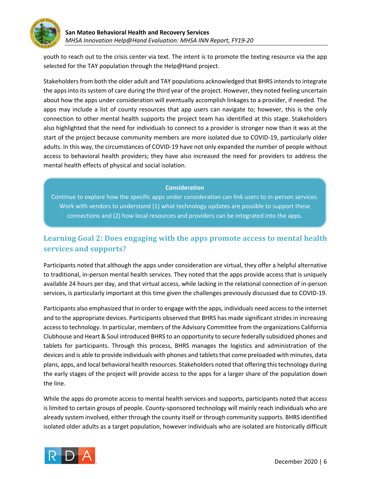

youth to reach out to the crisis center via text. The intent is to promote the texting resource via the app selected for the TAY population through the Help@Hand project.

Stakeholders from both the older adult and TAY populations acknowledged that BHRS intends to integrate the apps into itssystem of care during the third year of the project. However, they noted feeling uncertain about how the apps under consideration will eventually accomplish linkages to a provider, if needed. The apps may include a list of county resources that app users can navigate to; however, this is the only connection to other mental health supports the project team has identified at this stage. Stakeholders also highlighted that the need for individuals to connect to a provider is stronger now than it was at the start of the project because community members are more isolated due to COVID-19, particularly older adults. In this way, the circumstances of COVID-19 have not only expanded the number of people without access to behavioral health providers; they have also increased the need for providers to address the mental health effects of physical and social isolation.

#### **Consideration**

Continue to explore how the specific apps under consideration can link users to in-person services. Work with vendors to understand (1) what technology updates are possible to support these connections and (2) how local resources and providers can be integrated into the apps.

# **Learning Goal 2: Does engaging with the apps promote access to mental health services and supports?**

Participants noted that although the apps under consideration are virtual, they offer a helpful alternative to traditional, in-person mental health services. They noted that the apps provide access that is uniquely available 24 hours per day, and that virtual access, while lacking in the relational connection of in-person services, is particularly important at this time given the challenges previously discussed due to COVID-19.

Participants also emphasized that in order to engage with the apps, individuals need access to the internet and to the appropriate devices. Participants observed that BHRS has made significant strides in increasing access to technology. In particular, members of the Advisory Committee from the organizations California Clubhouse and Heart & Soul introduced BHRS to an opportunity to secure federally subsidized phones and tablets for participants. Through this process, BHRS manages the logistics and administration of the devices and is able to provide individuals with phones and tablets that come preloaded with minutes, data plans, apps, and local behavioral health resources. Stakeholders noted that offering this technology during the early stages of the project will provide access to the apps for a larger share of the population down the line.

While the apps do promote access to mental health services and supports, participants noted that access is limited to certain groups of people. County-sponsored technology will mainly reach individuals who are already system involved, either through the county itself or through community supports. BHRS identified isolated older adults as a target population, however individuals who are isolated are historically difficult

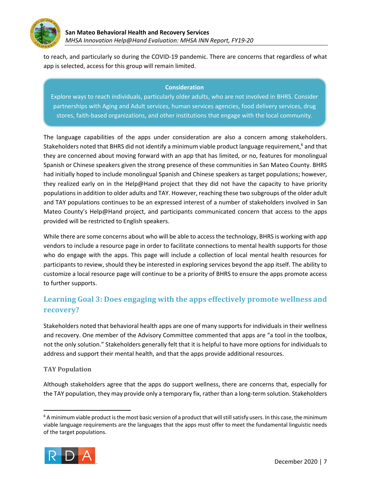

to reach, and particularly so during the COVID-19 pandemic. There are concerns that regardless of what app is selected, access for this group will remain limited.

#### **Consideration**

Explore ways to reach individuals, particularly older adults, who are not involved in BHRS. Consider partnerships with Aging and Adult services, human services agencies, food delivery services, drug stores, faith-based organizations, and other institutions that engage with the local community.

The language capabilities of the apps under consideration are also a concern among stakeholders. Stakeholders noted that BHRS did not identify a minimum viable product language requirement,<sup>6</sup> and that they are concerned about moving forward with an app that has limited, or no, features for monolingual Spanish or Chinese speakers given the strong presence of these communities in San Mateo County. BHRS had initially hoped to include monolingual Spanish and Chinese speakers as target populations; however, they realized early on in the Help@Hand project that they did not have the capacity to have priority populations in addition to older adults and TAY. However, reaching these two subgroups of the older adult and TAY populations continues to be an expressed interest of a number of stakeholders involved in San Mateo County's Help@Hand project, and participants communicated concern that access to the apps provided will be restricted to English speakers.

While there are some concerns about who will be able to access the technology, BHRS is working with app vendors to include a resource page in order to facilitate connections to mental health supports for those who do engage with the apps. This page will include a collection of local mental health resources for participants to review, should they be interested in exploring services beyond the app itself. The ability to customize a local resource page will continue to be a priority of BHRS to ensure the apps promote access to further supports.

# Learning Goal 3: Does engaging with the apps effectively promote wellness and **recovery?**

Stakeholders noted that behavioral health apps are one of many supports for individuals in their wellness and recovery. One member of the Advisory Committee commented that apps are "a tool in the toolbox, not the only solution." Stakeholders generally felt that it is helpful to have more options for individuals to address and support their mental health, and that the apps provide additional resources.

### **TAY Population**

Although stakeholders agree that the apps do support wellness, there are concerns that, especially for the TAY population, they may provide only a temporary fix, rather than a long-term solution. Stakeholders

 $6$  A minimum viable product is the most basic version of a product that will still satisfy users. In this case, the minimum viable language requirements are the languages that the apps must offer to meet the fundamental linguistic needs of the target populations.

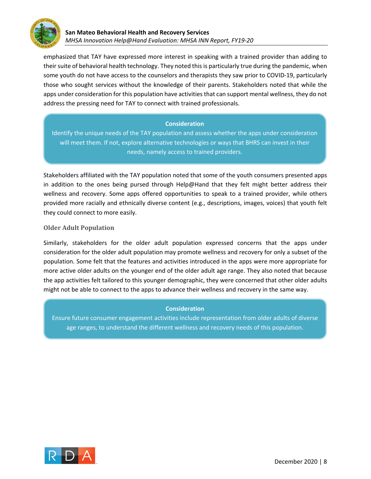

emphasized that TAY have expressed more interest in speaking with a trained provider than adding to their suite of behavioral health technology. They noted this is particularly true during the pandemic, when some youth do not have access to the counselors and therapists they saw prior to COVID-19, particularly those who sought services without the knowledge of their parents. Stakeholders noted that while the apps under consideration for this population have activities that can support mental wellness, they do not address the pressing need for TAY to connect with trained professionals.

### **Consideration**

Identify the unique needs of the TAY population and assess whether the apps under consideration will meet them. If not, explore alternative technologies or ways that BHRS can invest in their needs, namely access to trained providers.

Stakeholders affiliated with the TAY population noted that some of the youth consumers presented apps in addition to the ones being pursed through Help@Hand that they felt might better address their wellness and recovery. Some apps offered opportunities to speak to a trained provider, while others provided more racially and ethnically diverse content (e.g., descriptions, images, voices) that youth felt they could connect to more easily.

### **Older Adult Population**

Similarly, stakeholders for the older adult population expressed concerns that the apps under consideration for the older adult population may promote wellness and recovery for only a subset of the population. Some felt that the features and activities introduced in the apps were more appropriate for more active older adults on the younger end of the older adult age range. They also noted that because the app activities felt tailored to this younger demographic, they were concerned that other older adults might not be able to connect to the apps to advance their wellness and recovery in the same way.

### **Consideration**

Ensure future consumer engagement activities include representation from older adults of diverse age ranges, to understand the different wellness and recovery needs of this population.

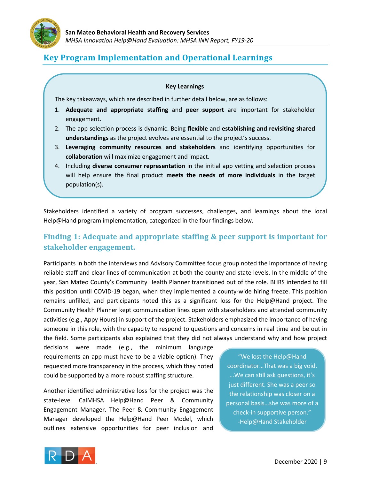

# **Key Program Implementation and Operational Learnings**

#### **Key Learnings**

The key takeaways, which are described in further detail below, are as follows:

- 1. **Adequate and appropriate staffing** and **peer support** are important for stakeholder engagement.
- 2. The app selection process is dynamic. Being **flexible** and **establishing and revisiting shared understandings** as the project evolves are essential to the project's success.
- 3. **Leveraging community resources and stakeholders** and identifying opportunities for **collaboration** will maximize engagement and impact.
- 4. Including **diverse consumer representation** in the initial app vetting and selection process will help ensure the final product **meets the needs of more individuals** in the target population(s).

Stakeholders identified a variety of program successes, challenges, and learnings about the local Help@Hand program implementation, categorized in the four findings below.

### **Finding 1: Adequate and appropriate staffing & peer support is important for stakeholder engagement.**

Participants in both the interviews and Advisory Committee focus group noted the importance of having reliable staff and clear lines of communication at both the county and state levels. In the middle of the year, San Mateo County's Community Health Planner transitioned out of the role. BHRS intended to fill this position until COVID-19 began, when they implemented a county-wide hiring freeze. This position remains unfilled, and participants noted this as a significant loss for the Help@Hand project. The Community Health Planner kept communication lines open with stakeholders and attended community activities (e.g., Appy Hours) in support of the project. Stakeholders emphasized the importance of having someone in this role, with the capacity to respond to questions and concerns in real time and be out in the field. Some participants also explained that they did not always understand why and how project

decisions were made (e.g., the minimum language requirements an app must have to be a viable option). They requested more transparency in the process, which they noted could be supported by a more robust staffing structure.

Another identified administrative loss for the project was the state-level CalMHSA Help@Hand Peer & Community Engagement Manager. The Peer & Community Engagement Manager developed the Help@Hand Peer Model, which outlines extensive opportunities for peer inclusion and

"We lost the Help@Hand coordinator…That was a big void. …We can still ask questions, it's just different. She was a peer so the relationship was closer on a personal basis…she was more of a check-in supportive person." -Help@Hand Stakeholder

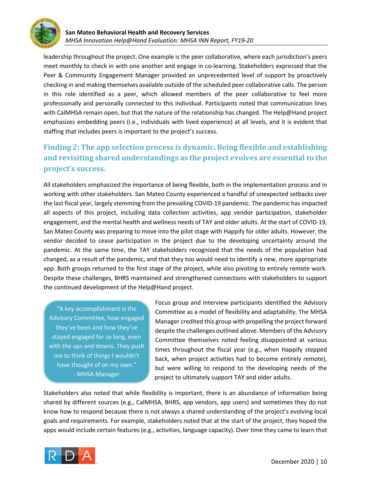

leadership throughout the project. One example is the peer collaborative, where each jurisdiction's peers meet monthly to check in with one another and engage in co-learning. Stakeholders expressed that the Peer & Community Engagement Manager provided an unprecedented level of support by proactively checking in and making themselves available outside of the scheduled peer collaborative calls. The person in this role identified as a peer, which allowed members of the peer collaborative to feel more professionally and personally connected to this individual. Participants noted that communication lines with CalMHSA remain open, but that the nature of the relationship has changed. The Help@Hand project emphasizes embedding peers (i.e., individuals with lived experience) at all levels, and it is evident that staffing that includes peers is important to the project's success.

# **Finding 2: The app selection process is dynamic. Being flexible and establishing and revisiting shared understandings as the project evolves are essential to the project's success.**

All stakeholders emphasized the importance of being flexible, both in the implementation process and in working with other stakeholders. San Mateo County experienced a handful of unexpected setbacks over the last fiscal year, largely stemming from the prevailing COVID-19 pandemic. The pandemic has impacted all aspects of this project, including data collection activities, app vendor participation, stakeholder engagement, and the mental health and wellness needs of TAY and older adults. At the start of COVID-19, San Mateo County was preparing to move into the pilot stage with Happify for older adults. However, the vendor decided to cease participation in the project due to the developing uncertainty around the pandemic. At the same time, the TAY stakeholders recognized that the needs of the population had changed, as a result of the pandemic, and that they too would need to identify a new, more appropriate app. Both groups returned to the first stage of the project, while also pivoting to entirely remote work. Despite these challenges, BHRS maintained and strengthened connections with stakeholders to support the continued development of the Help@Hand project.

"A key accomplishment is the Advisory Committee, how engaged they've been and how they've stayed engaged for so long, even with the ups and downs. They push me to think of things I wouldn't have thought of on my own." - MHSA Manager

Focus group and interview participants identified the Advisory Committee as a model of flexibility and adaptability. The MHSA Manager credited this group with propelling the project forward despite the challenges outlined above. Members of the Advisory Committee themselves noted feeling disappointed at various times throughout the fiscal year (e.g., when Happify stepped back, when project activities had to become entirely remote), but were willing to respond to the developing needs of the project to ultimately support TAY and older adults.

Stakeholders also noted that while flexibility is important, there is an abundance of information being shared by different sources (e.g., CalMHSA, BHRS, app vendors, app users) and sometimes they do not know how to respond because there is not always a shared understanding of the project's evolving local goals and requirements. For example, stakeholders noted that at the start of the project, they hoped the apps would include certain features (e.g., activities, language capacity). Over time they came to learn that

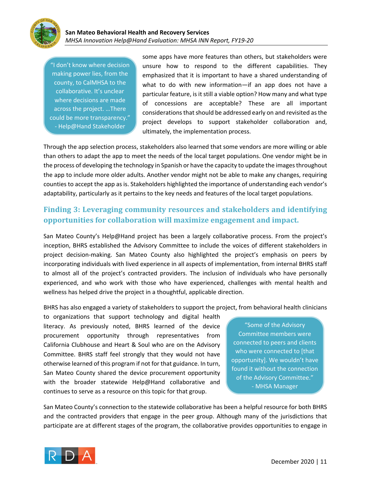

"I don't know where decision making power lies, from the county, to CalMHSA to the collaborative. It's unclear where decisions are made across the project. …There could be more transparency." - Help@Hand Stakeholder

some apps have more features than others, but stakeholders were unsure how to respond to the different capabilities. They emphasized that it is important to have a shared understanding of what to do with new information—if an app does not have a particular feature, is it still a viable option? How many and what type of concessions are acceptable? These are all important considerations that should be addressed early on and revisited as the project develops to support stakeholder collaboration and, ultimately, the implementation process.

Through the app selection process, stakeholders also learned that some vendors are more willing or able than others to adapt the app to meet the needs of the local target populations. One vendor might be in the process of developing the technology in Spanish or have the capacity to update the images throughout the app to include more older adults. Another vendor might not be able to make any changes, requiring counties to accept the app as is. Stakeholders highlighted the importance of understanding each vendor's adaptability, particularly as it pertains to the key needs and features of the local target populations.

### **Finding 3: Leveraging community resources and stakeholders and identifying opportunities for collaboration will maximize engagement and impact.**

San Mateo County's Help@Hand project has been a largely collaborative process. From the project's inception, BHRS established the Advisory Committee to include the voices of different stakeholders in project decision-making. San Mateo County also highlighted the project's emphasis on peers by incorporating individuals with lived experience in all aspects of implementation, from internal BHRS staff to almost all of the project's contracted providers. The inclusion of individuals who have personally experienced, and who work with those who have experienced, challenges with mental health and wellness has helped drive the project in a thoughtful, applicable direction.

BHRS has also engaged a variety of stakeholders to support the project, from behavioral health clinicians

to organizations that support technology and digital health literacy. As previously noted, BHRS learned of the device procurement opportunity through representatives from California Clubhouse and Heart & Soul who are on the Advisory Committee. BHRS staff feel strongly that they would not have otherwise learned of this program if not for that guidance. In turn, San Mateo County shared the device procurement opportunity with the broader statewide Help@Hand collaborative and continues to serve as a resource on this topic for that group.

"Some of the Advisory Committee members were connected to peers and clients who were connected to [that opportunity]. We wouldn't have found it without the connection of the Advisory Committee." - MHSA Manager

San Mateo County's connection to the statewide collaborative has been a helpful resource for both BHRS and the contracted providers that engage in the peer group. Although many of the jurisdictions that participate are at different stages of the program, the collaborative provides opportunities to engage in

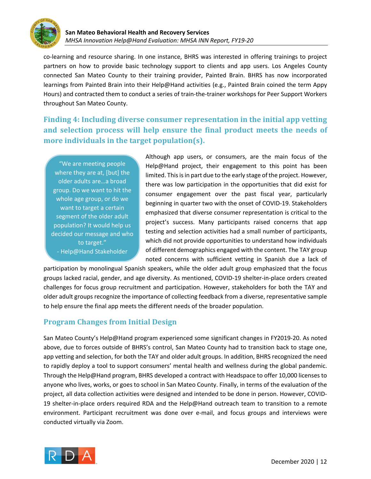

co-learning and resource sharing. In one instance, BHRS was interested in offering trainings to project partners on how to provide basic technology support to clients and app users. Los Angeles County connected San Mateo County to their training provider, Painted Brain. BHRS has now incorporated learnings from Painted Brain into their Help@Hand activities (e.g., Painted Brain coined the term Appy Hours) and contracted them to conduct a series of train-the-trainer workshops for Peer Support Workers throughout San Mateo County.

**Finding 4: Including diverse consumer representation in the initial app vetting** and selection process will help ensure the final product meets the needs of **more individuals in the target population(s).** 

"We are meeting people where they are at, [but] the older adults are…a broad group. Do we want to hit the whole age group, or do we want to target a certain segment of the older adult population? It would help us decided our message and who to target." - Help@Hand Stakeholder

Although app users, or consumers, are the main focus of the Help@Hand project, their engagement to this point has been limited. This is in part due to the early stage of the project. However, there was low participation in the opportunities that did exist for consumer engagement over the past fiscal year, particularly beginning in quarter two with the onset of COVID-19. Stakeholders emphasized that diverse consumer representation is critical to the project's success. Many participants raised concerns that app testing and selection activities had a small number of participants, which did not provide opportunities to understand how individuals of different demographics engaged with the content. The TAY group noted concerns with sufficient vetting in Spanish due a lack of

participation by monolingual Spanish speakers, while the older adult group emphasized that the focus groups lacked racial, gender, and age diversity. As mentioned, COVID-19 shelter-in-place orders created challenges for focus group recruitment and participation. However, stakeholders for both the TAY and older adult groups recognize the importance of collecting feedback from a diverse, representative sample to help ensure the final app meets the different needs of the broader population.

### **Program Changes from Initial Design**

San Mateo County's Help@Hand program experienced some significant changes in FY2019-20. As noted above, due to forces outside of BHRS's control, San Mateo County had to transition back to stage one, app vetting and selection, for both the TAY and older adult groups. In addition, BHRS recognized the need to rapidly deploy a tool to support consumers' mental health and wellness during the global pandemic. Through the Help@Hand program, BHRS developed a contract with Headspace to offer 10,000 licenses to anyone who lives, works, or goes to school in San Mateo County. Finally, in terms of the evaluation of the project, all data collection activities were designed and intended to be done in person. However, COVID-19 shelter-in-place orders required RDA and the Help@Hand outreach team to transition to a remote environment. Participant recruitment was done over e-mail, and focus groups and interviews were conducted virtually via Zoom.